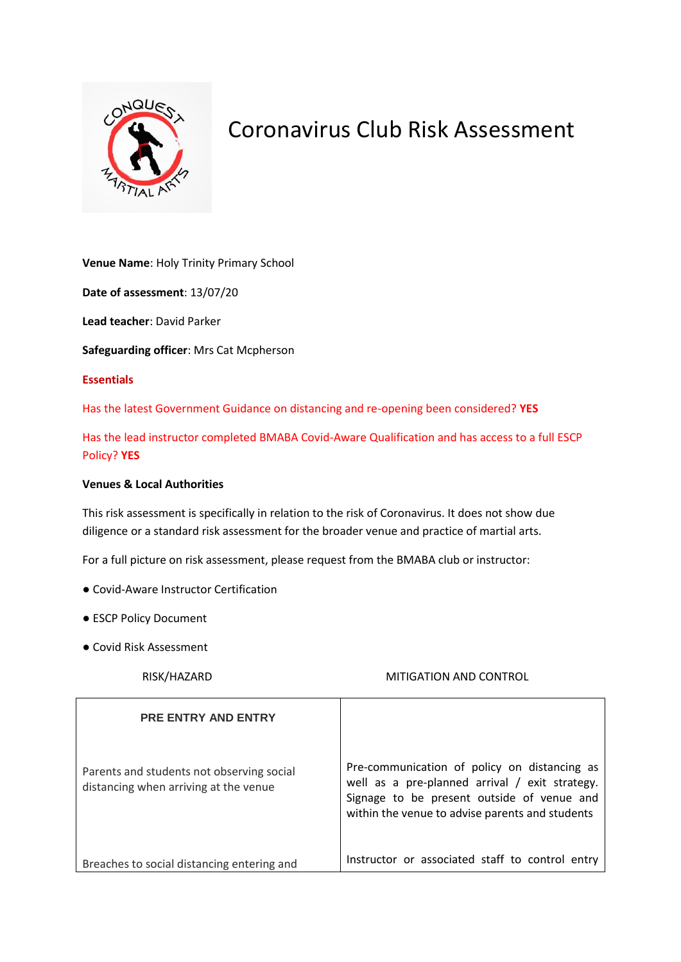

## Coronavirus Club Risk Assessment

**Venue Name**: Holy Trinity Primary School

**Date of assessment**: 13/07/20

**Lead teacher**: David Parker

**Safeguarding officer**: Mrs Cat Mcpherson

## **Essentials**

Has the latest Government Guidance on distancing and re-opening been considered? **YES**

Has the lead instructor completed BMABA Covid-Aware Qualification and has access to a full ESCP Policy? **YES**

## **Venues & Local Authorities**

This risk assessment is specifically in relation to the risk of Coronavirus. It does not show due diligence or a standard risk assessment for the broader venue and practice of martial arts.

For a full picture on risk assessment, please request from the BMABA club or instructor:

- Covid-Aware Instructor Certification
- ESCP Policy Document
- Covid Risk Assessment

## RISK/HAZARD MITIGATION AND CONTROL

| <b>PRE ENTRY AND ENTRY</b>                                                         |                                                                                                                                                                                                 |
|------------------------------------------------------------------------------------|-------------------------------------------------------------------------------------------------------------------------------------------------------------------------------------------------|
| Parents and students not observing social<br>distancing when arriving at the venue | Pre-communication of policy on distancing as<br>well as a pre-planned arrival / exit strategy.<br>Signage to be present outside of venue and<br>within the venue to advise parents and students |
| Breaches to social distancing entering and                                         | Instructor or associated staff to control entry                                                                                                                                                 |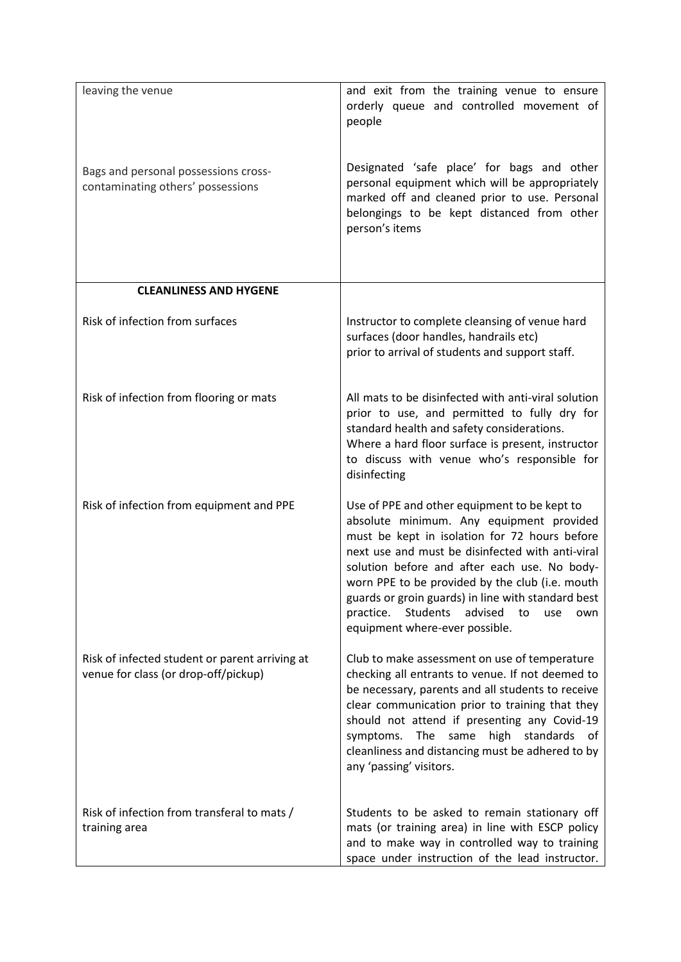| leaving the venue                                                                      | and exit from the training venue to ensure                                                            |
|----------------------------------------------------------------------------------------|-------------------------------------------------------------------------------------------------------|
|                                                                                        | orderly queue and controlled movement of<br>people                                                    |
|                                                                                        |                                                                                                       |
| Bags and personal possessions cross-                                                   | Designated 'safe place' for bags and other                                                            |
| contaminating others' possessions                                                      | personal equipment which will be appropriately<br>marked off and cleaned prior to use. Personal       |
|                                                                                        | belongings to be kept distanced from other<br>person's items                                          |
|                                                                                        |                                                                                                       |
|                                                                                        |                                                                                                       |
| <b>CLEANLINESS AND HYGENE</b>                                                          |                                                                                                       |
| Risk of infection from surfaces                                                        | Instructor to complete cleansing of venue hard                                                        |
|                                                                                        | surfaces (door handles, handrails etc)<br>prior to arrival of students and support staff.             |
|                                                                                        |                                                                                                       |
| Risk of infection from flooring or mats                                                | All mats to be disinfected with anti-viral solution<br>prior to use, and permitted to fully dry for   |
|                                                                                        | standard health and safety considerations.                                                            |
|                                                                                        | Where a hard floor surface is present, instructor<br>to discuss with venue who's responsible for      |
|                                                                                        | disinfecting                                                                                          |
| Risk of infection from equipment and PPE                                               | Use of PPE and other equipment to be kept to<br>absolute minimum. Any equipment provided              |
|                                                                                        | must be kept in isolation for 72 hours before                                                         |
|                                                                                        | next use and must be disinfected with anti-viral<br>solution before and after each use. No body-      |
|                                                                                        | worn PPE to be provided by the club (i.e. mouth<br>guards or groin guards) in line with standard best |
|                                                                                        | practice.<br>Students<br>advised<br>to<br>use<br>own<br>equipment where-ever possible.                |
|                                                                                        |                                                                                                       |
| Risk of infected student or parent arriving at<br>venue for class (or drop-off/pickup) | Club to make assessment on use of temperature<br>checking all entrants to venue. If not deemed to     |
|                                                                                        | be necessary, parents and all students to receive<br>clear communication prior to training that they  |
|                                                                                        | should not attend if presenting any Covid-19                                                          |
|                                                                                        | symptoms. The same high standards of<br>cleanliness and distancing must be adhered to by              |
|                                                                                        | any 'passing' visitors.                                                                               |
| Risk of infection from transferal to mats /                                            | Students to be asked to remain stationary off                                                         |
| training area                                                                          | mats (or training area) in line with ESCP policy<br>and to make way in controlled way to training     |
|                                                                                        | space under instruction of the lead instructor.                                                       |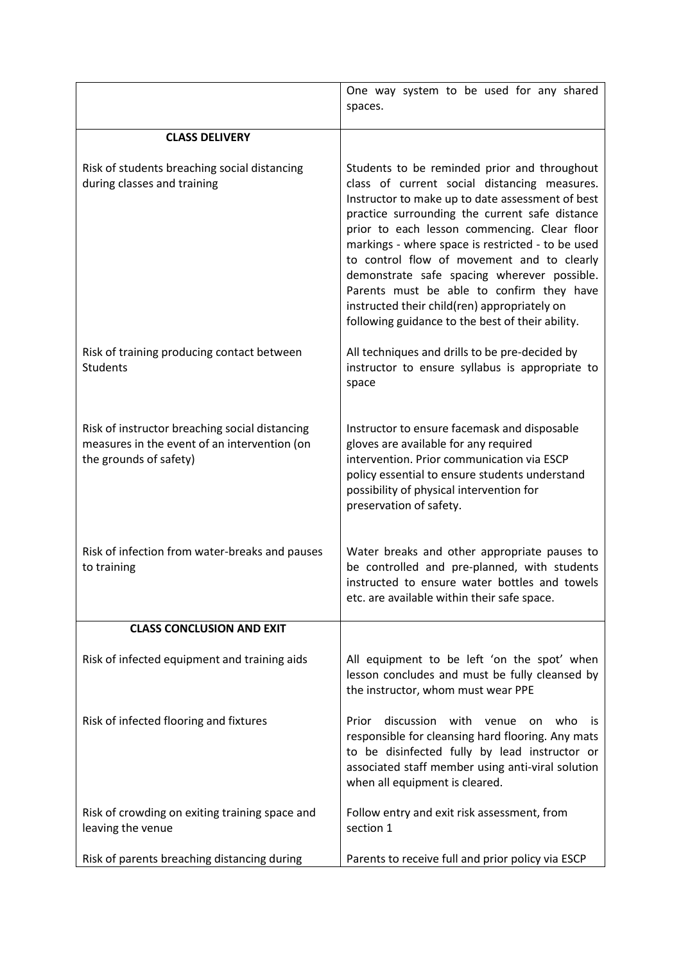|                                                                                                                          | One way system to be used for any shared<br>spaces.                                                                                                                                                                                                                                                                                                                                                                                                                                                                                                   |
|--------------------------------------------------------------------------------------------------------------------------|-------------------------------------------------------------------------------------------------------------------------------------------------------------------------------------------------------------------------------------------------------------------------------------------------------------------------------------------------------------------------------------------------------------------------------------------------------------------------------------------------------------------------------------------------------|
| <b>CLASS DELIVERY</b>                                                                                                    |                                                                                                                                                                                                                                                                                                                                                                                                                                                                                                                                                       |
| Risk of students breaching social distancing<br>during classes and training                                              | Students to be reminded prior and throughout<br>class of current social distancing measures.<br>Instructor to make up to date assessment of best<br>practice surrounding the current safe distance<br>prior to each lesson commencing. Clear floor<br>markings - where space is restricted - to be used<br>to control flow of movement and to clearly<br>demonstrate safe spacing wherever possible.<br>Parents must be able to confirm they have<br>instructed their child(ren) appropriately on<br>following guidance to the best of their ability. |
| Risk of training producing contact between<br><b>Students</b>                                                            | All techniques and drills to be pre-decided by<br>instructor to ensure syllabus is appropriate to<br>space                                                                                                                                                                                                                                                                                                                                                                                                                                            |
| Risk of instructor breaching social distancing<br>measures in the event of an intervention (on<br>the grounds of safety) | Instructor to ensure facemask and disposable<br>gloves are available for any required<br>intervention. Prior communication via ESCP<br>policy essential to ensure students understand<br>possibility of physical intervention for<br>preservation of safety.                                                                                                                                                                                                                                                                                          |
| Risk of infection from water-breaks and pauses<br>to training                                                            | Water breaks and other appropriate pauses to<br>be controlled and pre-planned, with students<br>instructed to ensure water bottles and towels<br>etc. are available within their safe space.                                                                                                                                                                                                                                                                                                                                                          |
| <b>CLASS CONCLUSION AND EXIT</b>                                                                                         |                                                                                                                                                                                                                                                                                                                                                                                                                                                                                                                                                       |
| Risk of infected equipment and training aids                                                                             | All equipment to be left 'on the spot' when<br>lesson concludes and must be fully cleansed by<br>the instructor, whom must wear PPE                                                                                                                                                                                                                                                                                                                                                                                                                   |
| Risk of infected flooring and fixtures                                                                                   | discussion<br>with venue<br>Prior<br>who<br>- İS<br>on<br>responsible for cleansing hard flooring. Any mats<br>to be disinfected fully by lead instructor or<br>associated staff member using anti-viral solution<br>when all equipment is cleared.                                                                                                                                                                                                                                                                                                   |
| Risk of crowding on exiting training space and<br>leaving the venue                                                      | Follow entry and exit risk assessment, from<br>section 1                                                                                                                                                                                                                                                                                                                                                                                                                                                                                              |
| Risk of parents breaching distancing during                                                                              | Parents to receive full and prior policy via ESCP                                                                                                                                                                                                                                                                                                                                                                                                                                                                                                     |